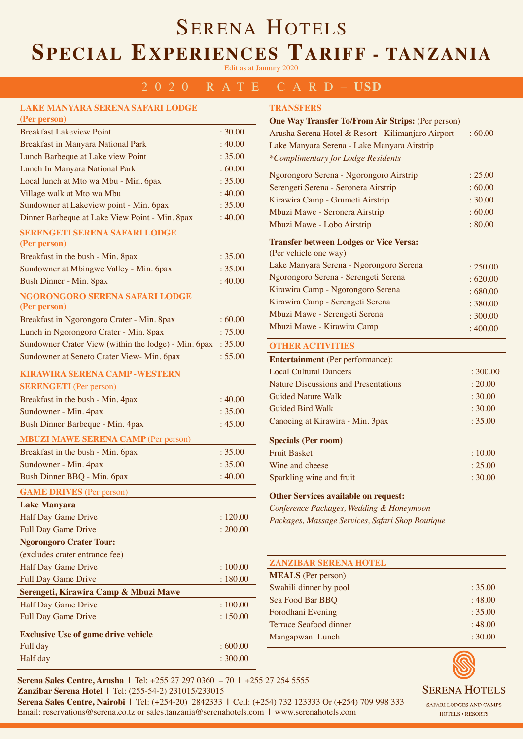# SERENA HOTELS **SPECIAL EXPERIENCES TARIFF - TANZANIA**

Edit as at January 2020

## 2020 RATE CARD– **USD**

| <b>LAKE MANYARA SERENA SAFARI LODGE</b>              |          |
|------------------------------------------------------|----------|
| (Per person)                                         |          |
| <b>Breakfast Lakeview Point</b>                      | : 30.00  |
| Breakfast in Manyara National Park                   | :40.00   |
| Lunch Barbeque at Lake view Point                    | : 35.00  |
| Lunch In Manyara National Park                       | :60.00   |
| Local lunch at Mto wa Mbu - Min. 6pax                | : 35.00  |
| Village walk at Mto wa Mbu                           | :40.00   |
| Sundowner at Lakeview point - Min. 6pax              | : 35.00  |
| Dinner Barbeque at Lake View Point - Min. 8pax       | : 40.00  |
| <b>SERENGETI SERENA SAFARI LODGE</b><br>(Per person) |          |
| Breakfast in the bush - Min. 8pax                    | : 35.00  |
| Sundowner at Mbingwe Valley - Min. 6pax              | : 35.00  |
| Bush Dinner - Min. 8pax                              | :40.00   |
| NGORONGORO SERENA SAFARI LODGE<br>(Per person)       |          |
| Breakfast in Ngorongoro Crater - Min. 8pax           | :60.00   |
| Lunch in Ngorongoro Crater - Min. 8pax               | :75.00   |
| Sundowner Crater View (within the lodge) - Min. 6pax | : 35.00  |
| Sundowner at Seneto Crater View-Min. 6pax            | : 55.00  |
| <b>KIRAWIRA SERENA CAMP - WESTERN</b>                |          |
| <b>SERENGETI</b> (Per person)                        |          |
| Breakfast in the bush - Min. 4pax                    | :40.00   |
| Sundowner - Min. 4pax                                | : 35.00  |
| Bush Dinner Barbeque - Min. 4pax                     | : 45.00  |
| <b>MBUZI MAWE SERENA CAMP (Per person)</b>           |          |
| Breakfast in the bush - Min. 6pax                    | : 35.00  |
| Sundowner - Min. 4pax                                | : 35.00  |
| Bush Dinner BBQ - Min. 6pax                          | : 40.00  |
|                                                      |          |
| <b>GAME DRIVES</b> (Per person)                      |          |
| <b>Lake Manyara</b>                                  |          |
| Half Day Game Drive                                  | : 120.00 |
| Full Day Game Drive                                  | : 200.00 |
| <b>Ngorongoro Crater Tour:</b>                       |          |
| (excludes crater entrance fee)                       |          |
| Half Day Game Drive                                  | :100.00  |
| <b>Full Day Game Drive</b>                           | : 180.00 |
| Serengeti, Kirawira Camp & Mbuzi Mawe                |          |
| Half Day Game Drive                                  | :100.00  |
| <b>Full Day Game Drive</b>                           | : 150.00 |
| <b>Exclusive Use of game drive vehicle</b>           |          |
| Full day                                             | : 600.00 |
| Half day                                             | : 300.00 |

| <b>TRANSFERS</b>                                         |          |  |
|----------------------------------------------------------|----------|--|
| <b>One Way Transfer To/From Air Strips: (Per person)</b> |          |  |
| Arusha Serena Hotel & Resort - Kilimanjaro Airport       | :60.00   |  |
| Lake Manyara Serena - Lake Manyara Airstrip              |          |  |
| *Complimentary for Lodge Residents                       |          |  |
| Ngorongoro Serena - Ngorongoro Airstrip                  | : 25.00  |  |
| Serengeti Serena - Seronera Airstrip                     | :60.00   |  |
| Kirawira Camp - Grumeti Airstrip                         | : 30.00  |  |
| Mbuzi Mawe - Seronera Airstrip                           | :60.00   |  |
| Mbuzi Mawe - Lobo Airstrip                               | : 80.00  |  |
| <b>Transfer between Lodges or Vice Versa:</b>            |          |  |
| (Per vehicle one way)                                    |          |  |
| Lake Manyara Serena - Ngorongoro Serena                  | : 250.00 |  |
| Ngorongoro Serena - Serengeti Serena                     | :620.00  |  |
| Kirawira Camp - Ngorongoro Serena                        | :680.00  |  |
| Kirawira Camp - Serengeti Serena                         | : 380.00 |  |
| Mbuzi Mawe - Serengeti Serena                            | : 300.00 |  |
| Mbuzi Mawe - Kirawira Camp                               | :400.00  |  |
| <b>OTHER ACTIVITIES</b>                                  |          |  |
| <b>Entertainment</b> (Per performance):                  |          |  |
| <b>Local Cultural Dancers</b>                            | : 300.00 |  |
| <b>Nature Discussions and Presentations</b>              | : 20.00  |  |

| <b>Guided Nature Walk</b>        | : 30.00 |
|----------------------------------|---------|
| Guided Bird Walk                 | : 30.00 |
| Canoeing at Kirawira - Min. 3pax | : 35.00 |
| <b>Specials (Per room)</b>       |         |
| <b>Fruit Basket</b>              | : 10.00 |
| Wine and cheese                  | : 25.00 |
| Sparkling wine and fruit         | : 30.00 |

### **Other Services available on request:**

*Conference Packages, Wedding & Honeymoon Packages, Massage Services, Safari Shop Boutique*

| <b>ZANZIBAR SERENA HOTEL</b> |         |
|------------------------------|---------|
| <b>MEALS</b> (Per person)    |         |
| Swahili dinner by pool       | : 35.00 |
| Sea Food Bar BBQ             | : 48.00 |
| Forodhani Evening            | : 35.00 |
| Terrace Seafood dinner       | : 48.00 |
| Mangapwani Lunch             | : 30.00 |



**Serena Sales Centre, Arusha |** Tel: +255 27 297 0360 – 70 **|** +255 27 254 5555 **Zanzibar Serena Hotel |** Tel: (255-54-2) 231015/233015 **Serena Sales Centre, Nairobi |** Tel: (+254-20) 2842333 **|** Cell: (+254) 732 123333 Or (+254) 709 998 333 Email: reservations@serena.co.tz or sales.tanzania@serenahotels.com **|** www.serenahotels.com

SAFARI LODGES AND CAMPS HOTELS . RESORTS